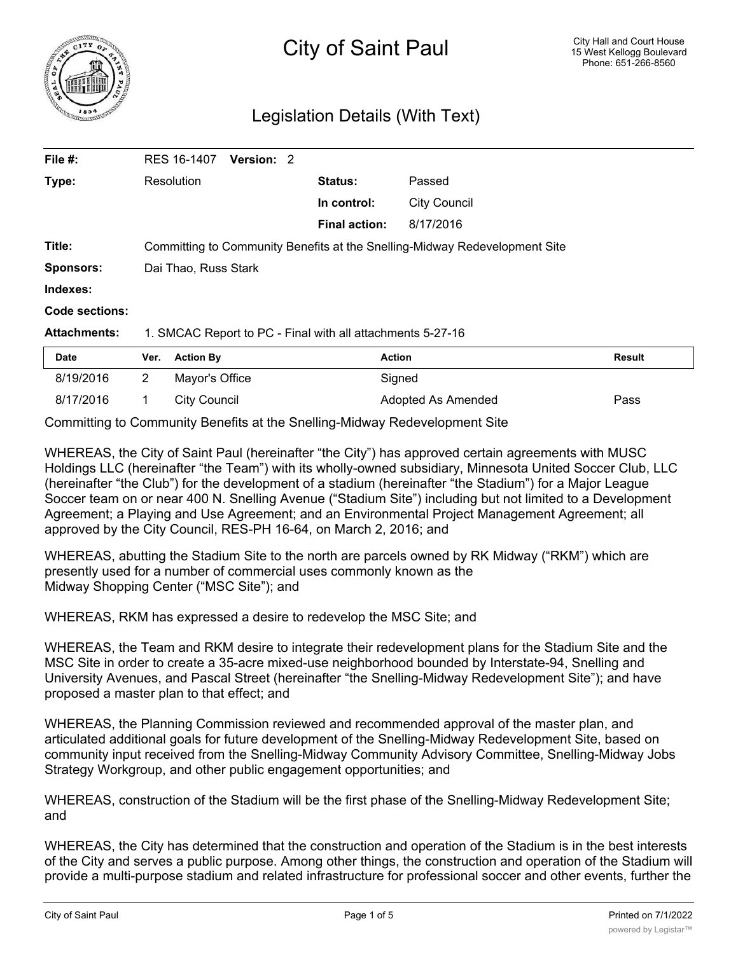

## Legislation Details (With Text)

| File #:             | RES 16-1407<br><b>Version: 2</b>                                           |                      |                     |               |
|---------------------|----------------------------------------------------------------------------|----------------------|---------------------|---------------|
| Type:               | Resolution                                                                 | Status:              | Passed              |               |
|                     |                                                                            | In control:          | <b>City Council</b> |               |
|                     |                                                                            | <b>Final action:</b> | 8/17/2016           |               |
| Title:              | Committing to Community Benefits at the Snelling-Midway Redevelopment Site |                      |                     |               |
| <b>Sponsors:</b>    | Dai Thao, Russ Stark                                                       |                      |                     |               |
| Indexes:            |                                                                            |                      |                     |               |
| Code sections:      |                                                                            |                      |                     |               |
| <b>Attachments:</b> | 1. SMCAC Report to PC - Final with all attachments 5-27-16                 |                      |                     |               |
| <b>Date</b>         | <b>Action By</b><br>Ver.                                                   | <b>Action</b>        |                     | <b>Result</b> |
| 8/19/2016           | $\mathbf{2}^{\prime}$<br>Mayor's Office                                    | Signed               |                     |               |

Committing to Community Benefits at the Snelling-Midway Redevelopment Site

WHEREAS, the City of Saint Paul (hereinafter "the City") has approved certain agreements with MUSC Holdings LLC (hereinafter "the Team") with its wholly-owned subsidiary, Minnesota United Soccer Club, LLC (hereinafter "the Club") for the development of a stadium (hereinafter "the Stadium") for a Major League Soccer team on or near 400 N. Snelling Avenue ("Stadium Site") including but not limited to a Development Agreement; a Playing and Use Agreement; and an Environmental Project Management Agreement; all approved by the City Council, RES-PH 16-64, on March 2, 2016; and

8/17/2016 1 City Council **Adopted As Amended** Pass

WHEREAS, abutting the Stadium Site to the north are parcels owned by RK Midway ("RKM") which are presently used for a number of commercial uses commonly known as the Midway Shopping Center ("MSC Site"); and

WHEREAS, RKM has expressed a desire to redevelop the MSC Site; and

WHEREAS, the Team and RKM desire to integrate their redevelopment plans for the Stadium Site and the MSC Site in order to create a 35-acre mixed-use neighborhood bounded by Interstate-94, Snelling and University Avenues, and Pascal Street (hereinafter "the Snelling-Midway Redevelopment Site"); and have proposed a master plan to that effect; and

WHEREAS, the Planning Commission reviewed and recommended approval of the master plan, and articulated additional goals for future development of the Snelling-Midway Redevelopment Site, based on community input received from the Snelling-Midway Community Advisory Committee, Snelling-Midway Jobs Strategy Workgroup, and other public engagement opportunities; and

WHEREAS, construction of the Stadium will be the first phase of the Snelling-Midway Redevelopment Site; and

WHEREAS, the City has determined that the construction and operation of the Stadium is in the best interests of the City and serves a public purpose. Among other things, the construction and operation of the Stadium will provide a multi-purpose stadium and related infrastructure for professional soccer and other events, further the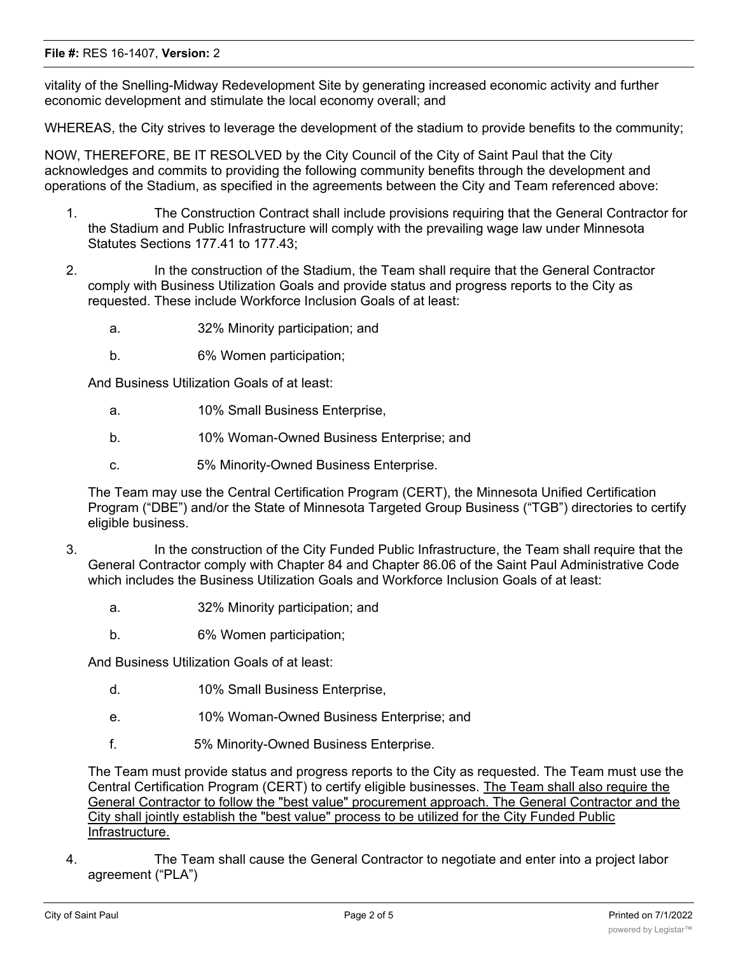## **File #:** RES 16-1407, **Version:** 2

vitality of the Snelling-Midway Redevelopment Site by generating increased economic activity and further economic development and stimulate the local economy overall; and

WHEREAS, the City strives to leverage the development of the stadium to provide benefits to the community;

NOW, THEREFORE, BE IT RESOLVED by the City Council of the City of Saint Paul that the City acknowledges and commits to providing the following community benefits through the development and operations of the Stadium, as specified in the agreements between the City and Team referenced above:

- 1. The Construction Contract shall include provisions requiring that the General Contractor for the Stadium and Public Infrastructure will comply with the prevailing wage law under Minnesota Statutes Sections 177.41 to 177.43;
- 2. In the construction of the Stadium, the Team shall require that the General Contractor comply with Business Utilization Goals and provide status and progress reports to the City as requested. These include Workforce Inclusion Goals of at least:
	- a. 32% Minority participation; and
	- b. 6% Women participation;

And Business Utilization Goals of at least:

- a. 10% Small Business Enterprise,
- b. 10% Woman-Owned Business Enterprise; and
- c. 5% Minority-Owned Business Enterprise.

The Team may use the Central Certification Program (CERT), the Minnesota Unified Certification Program ("DBE") and/or the State of Minnesota Targeted Group Business ("TGB") directories to certify eligible business.

- 3. In the construction of the City Funded Public Infrastructure, the Team shall require that the General Contractor comply with Chapter 84 and Chapter 86.06 of the Saint Paul Administrative Code which includes the Business Utilization Goals and Workforce Inclusion Goals of at least:
	- a. 32% Minority participation; and
	- b. 6% Women participation;

And Business Utilization Goals of at least:

- d. 10% Small Business Enterprise,
- e. 10% Woman-Owned Business Enterprise; and
- f. 5% Minority-Owned Business Enterprise.

The Team must provide status and progress reports to the City as requested. The Team must use the Central Certification Program (CERT) to certify eligible businesses. The Team shall also require the General Contractor to follow the "best value" procurement approach. The General Contractor and the City shall jointly establish the "best value" process to be utilized for the City Funded Public Infrastructure.

4. The Team shall cause the General Contractor to negotiate and enter into a project labor agreement ("PLA")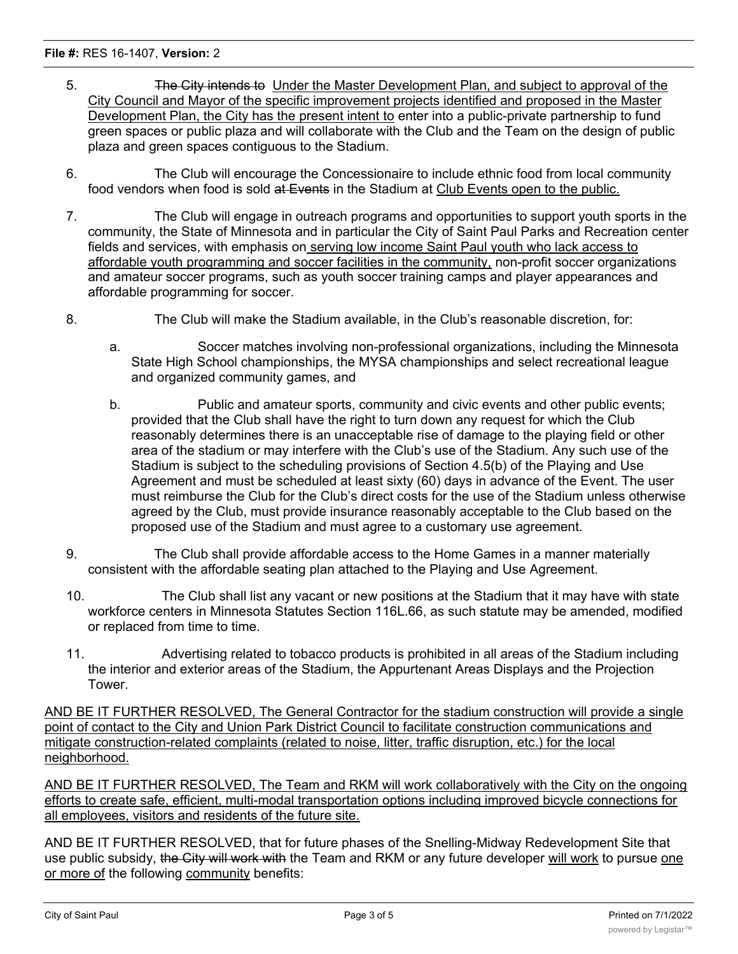## **File #:** RES 16-1407, **Version:** 2

- 5. **The City intends to Under the Master Development Plan, and subject to approval of the** City Council and Mayor of the specific improvement projects identified and proposed in the Master Development Plan, the City has the present intent to enter into a public-private partnership to fund green spaces or public plaza and will collaborate with the Club and the Team on the design of public plaza and green spaces contiguous to the Stadium.
- 6. The Club will encourage the Concessionaire to include ethnic food from local community food vendors when food is sold at Events in the Stadium at Club Events open to the public.
- 7. The Club will engage in outreach programs and opportunities to support youth sports in the community, the State of Minnesota and in particular the City of Saint Paul Parks and Recreation center fields and services, with emphasis on serving low income Saint Paul youth who lack access to affordable youth programming and soccer facilities in the community, non-profit soccer organizations and amateur soccer programs, such as youth soccer training camps and player appearances and affordable programming for soccer.
- 8. The Club will make the Stadium available, in the Club's reasonable discretion, for:
	- a. Soccer matches involving non-professional organizations, including the Minnesota State High School championships, the MYSA championships and select recreational league and organized community games, and
	- b. Public and amateur sports, community and civic events and other public events; provided that the Club shall have the right to turn down any request for which the Club reasonably determines there is an unacceptable rise of damage to the playing field or other area of the stadium or may interfere with the Club's use of the Stadium. Any such use of the Stadium is subject to the scheduling provisions of Section 4.5(b) of the Playing and Use Agreement and must be scheduled at least sixty (60) days in advance of the Event. The user must reimburse the Club for the Club's direct costs for the use of the Stadium unless otherwise agreed by the Club, must provide insurance reasonably acceptable to the Club based on the proposed use of the Stadium and must agree to a customary use agreement.
- 9. The Club shall provide affordable access to the Home Games in a manner materially consistent with the affordable seating plan attached to the Playing and Use Agreement.
- 10. The Club shall list any vacant or new positions at the Stadium that it may have with state workforce centers in Minnesota Statutes Section 116L.66, as such statute may be amended, modified or replaced from time to time.
- 11. Advertising related to tobacco products is prohibited in all areas of the Stadium including the interior and exterior areas of the Stadium, the Appurtenant Areas Displays and the Projection Tower.

AND BE IT FURTHER RESOLVED, The General Contractor for the stadium construction will provide a single point of contact to the City and Union Park District Council to facilitate construction communications and mitigate construction-related complaints (related to noise, litter, traffic disruption, etc.) for the local neighborhood.

AND BE IT FURTHER RESOLVED, The Team and RKM will work collaboratively with the City on the ongoing efforts to create safe, efficient, multi-modal transportation options including improved bicycle connections for all employees, visitors and residents of the future site.

AND BE IT FURTHER RESOLVED, that for future phases of the Snelling-Midway Redevelopment Site that use public subsidy, the City will work with the Team and RKM or any future developer will work to pursue one or more of the following community benefits: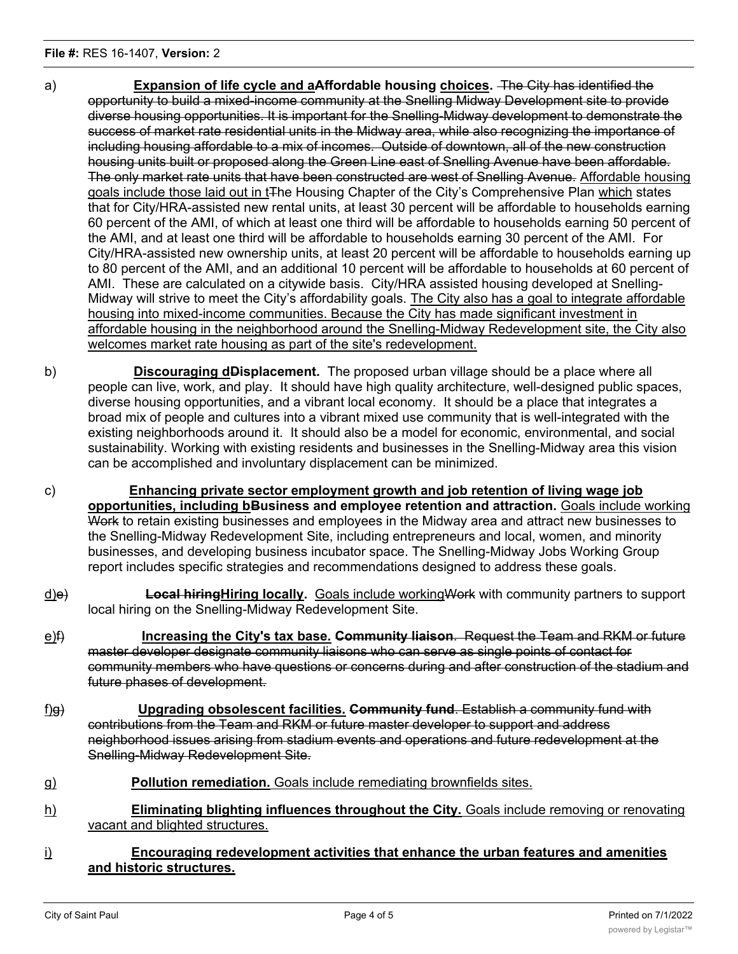- a) **Expansion of life cycle and aAffordable housing choices.** The City has identified the opportunity to build a mixed-income community at the Snelling Midway Development site to provide diverse housing opportunities. It is important for the Snelling-Midway development to demonstrate the success of market rate residential units in the Midway area, while also recognizing the importance of including housing affordable to a mix of incomes. Outside of downtown, all of the new construction housing units built or proposed along the Green Line east of Snelling Avenue have been affordable. The only market rate units that have been constructed are west of Snelling Avenue. Affordable housing goals include those laid out in t<sub>The Housing Chapter of the City's Comprehensive Plan which states</sub> that for City/HRA-assisted new rental units, at least 30 percent will be affordable to households earning 60 percent of the AMI, of which at least one third will be affordable to households earning 50 percent of the AMI, and at least one third will be affordable to households earning 30 percent of the AMI. For City/HRA-assisted new ownership units, at least 20 percent will be affordable to households earning up to 80 percent of the AMI, and an additional 10 percent will be affordable to households at 60 percent of AMI. These are calculated on a citywide basis. City/HRA assisted housing developed at Snelling-Midway will strive to meet the City's affordability goals. The City also has a goal to integrate affordable housing into mixed-income communities. Because the City has made significant investment in affordable housing in the neighborhood around the Snelling-Midway Redevelopment site, the City also welcomes market rate housing as part of the site's redevelopment.
- b) **Discouraging dDisplacement.** The proposed urban village should be a place where all people can live, work, and play. It should have high quality architecture, well-designed public spaces, diverse housing opportunities, and a vibrant local economy. It should be a place that integrates a broad mix of people and cultures into a vibrant mixed use community that is well-integrated with the existing neighborhoods around it. It should also be a model for economic, environmental, and social sustainability. Working with existing residents and businesses in the Snelling-Midway area this vision can be accomplished and involuntary displacement can be minimized.
- c) **Enhancing private sector employment growth and job retention of living wage job opportunities, including bBusiness and employee retention and attraction.** Goals include working Work to retain existing businesses and employees in the Midway area and attract new businesses to the Snelling-Midway Redevelopment Site, including entrepreneurs and local, women, and minority businesses, and developing business incubator space. The Snelling-Midway Jobs Working Group report includes specific strategies and recommendations designed to address these goals.
- d)e) **Local hiringHiring locally.** Goals include workingWork with community partners to support local hiring on the Snelling-Midway Redevelopment Site.
- e)f) **Increasing the City's tax base. Community liaison**. Request the Team and RKM or future master developer designate community liaisons who can serve as single points of contact for community members who have questions or concerns during and after construction of the stadium and future phases of development.
- f)g) **Upgrading obsolescent facilities. Community fund**. Establish a community fund with contributions from the Team and RKM or future master developer to support and address neighborhood issues arising from stadium events and operations and future redevelopment at the Snelling-Midway Redevelopment Site.
- g) **Pollution remediation.** Goals include remediating brownfields sites.
- h) **Eliminating blighting influences throughout the City.** Goals include removing or renovating vacant and blighted structures.
- i) **Encouraging redevelopment activities that enhance the urban features and amenities and historic structures.**